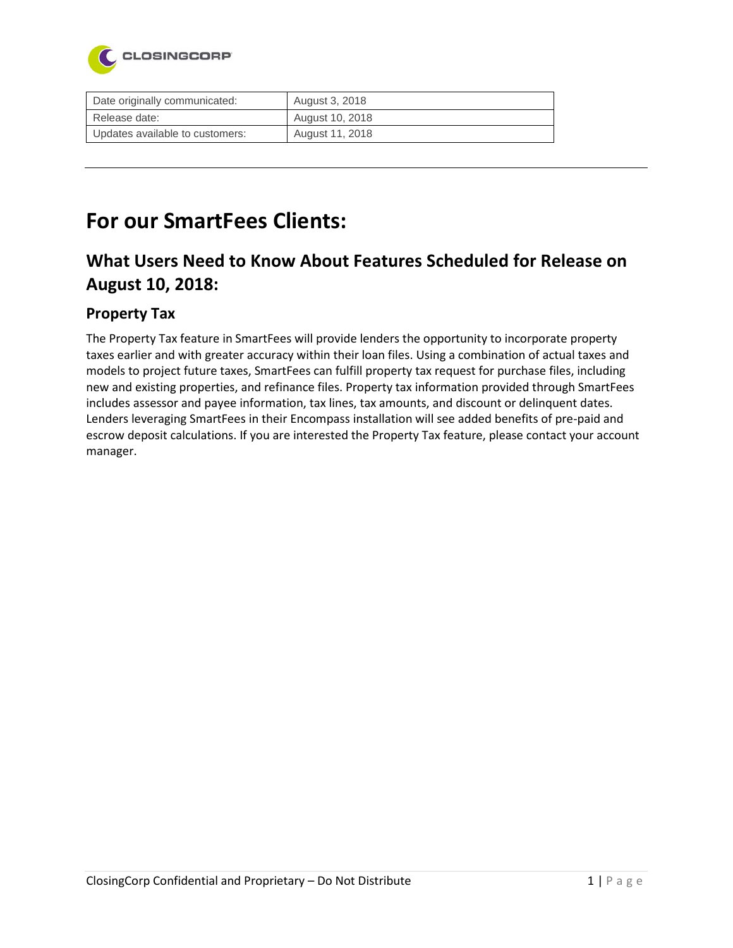

| Date originally communicated:   | August 3, 2018  |
|---------------------------------|-----------------|
| Release date:                   | August 10, 2018 |
| Updates available to customers: | August 11, 2018 |

# **For our SmartFees Clients:**

### **What Users Need to Know About Features Scheduled for Release on August 10, 2018:**

#### **Property Tax**

The Property Tax feature in SmartFees will provide lenders the opportunity to incorporate property taxes earlier and with greater accuracy within their loan files. Using a combination of actual taxes and models to project future taxes, SmartFees can fulfill property tax request for purchase files, including new and existing properties, and refinance files. Property tax information provided through SmartFees includes assessor and payee information, tax lines, tax amounts, and discount or delinquent dates. Lenders leveraging SmartFees in their Encompass installation will see added benefits of pre-paid and escrow deposit calculations. If you are interested the Property Tax feature, please contact your account manager.